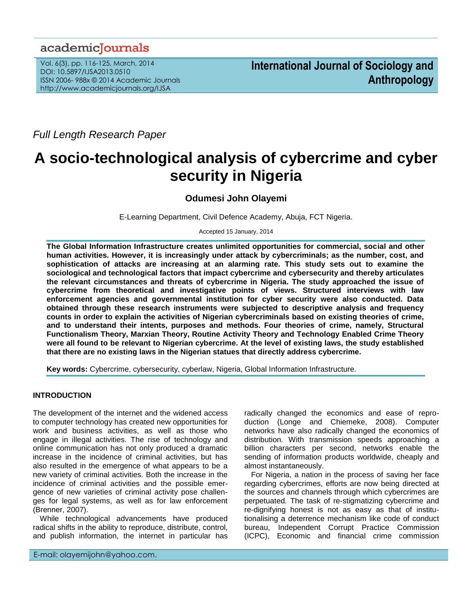## academicJournals

Vol. 6(3), pp. 116-125, March, 2014 DOI: 10.5897/IJSA2013.0510 ISSN 2006- 988x © 2014 Academic Journals http://www.academicjournals.org/IJSA

*Full Length Research Paper*

# **A socio-technological analysis of cybercrime and cyber security in Nigeria**

### **Odumesi John Olayemi**

E-Learning Department, Civil Defence Academy, Abuja, FCT Nigeria.

Accepted 15 January, 2014

**The Global Information Infrastructure creates unlimited opportunities for commercial, social and other human activities. However, it is increasingly under attack by cybercriminals; as the number, cost, and sophistication of attacks are increasing at an alarming rate. This study sets out to examine the sociological and technological factors that impact cybercrime and cybersecurity and thereby articulates the relevant circumstances and threats of cybercrime in Nigeria. The study approached the issue of cybercrime from theoretical and investigative points of views. Structured interviews with law enforcement agencies and governmental institution for cyber security were also conducted. Data obtained through these research instruments were subjected to descriptive analysis and frequency counts in order to explain the activities of Nigerian cybercriminals based on existing theories of crime, and to understand their intents, purposes and methods. Four theories of crime, namely, Structural Functionalism Theory, Marxian Theory, Routine Activity Theory and Technology Enabled Crime Theory were all found to be relevant to Nigerian cybercrime. At the level of existing laws, the study established that there are no existing laws in the Nigerian statues that directly address cybercrime.** 

**Key words:** Cybercrime, cybersecurity, cyberlaw, Nigeria, Global Information Infrastructure.

### **INTRODUCTION**

The development of the internet and the widened access to computer technology has created new opportunities for work and business activities, as well as those who engage in illegal activities. The rise of technology and online communication has not only produced a dramatic increase in the incidence of criminal activities, but has also resulted in the emergence of what appears to be a new variety of criminal activities. Both the increase in the incidence of criminal activities and the possible emergence of new varieties of criminal activity pose challenges for legal systems, as well as for law enforcement (Brenner, 2007).

While technological advancements have produced radical shifts in the ability to reproduce, distribute, control, and publish information, the internet in particular has radically changed the economics and ease of reproduction (Longe and Chiemeke, 2008). Computer networks have also radically changed the economics of distribution. With transmission speeds approaching a billion characters per second, networks enable the sending of information products worldwide, cheaply and almost instantaneously.

For Nigeria, a nation in the process of saving her face regarding cybercrimes, efforts are now being directed at the sources and channels through which cybercrimes are perpetuated. The task of re-stigmatizing cybercrime and re-dignifying honest is not as easy as that of institutionalising a deterrence mechanism like code of conduct bureau, Independent Corrupt Practice Commission (ICPC), Economic and financial crime commission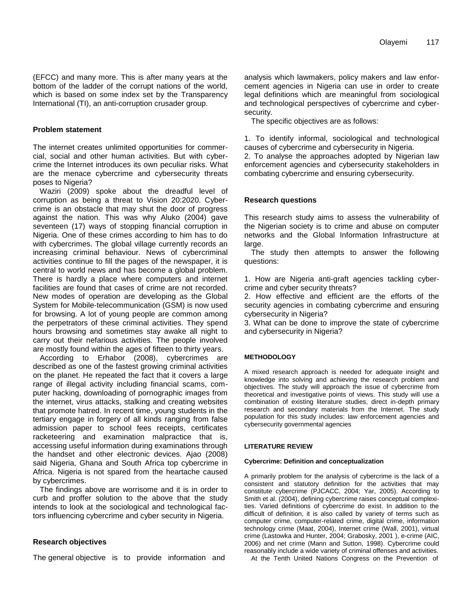(EFCC) and many more. This is after many years at the bottom of the ladder of the corrupt nations of the world, which is based on some index set by the Transparency International (TI), an anti-corruption crusader group.

### **Problem statement**

The internet creates unlimited opportunities for commercial, social and other human activities. But with cybercrime the Internet introduces its own peculiar risks. What are the menace cybercrime and cybersecurity threats poses to Nigeria?

Waziri (2009) spoke about the dreadful level of corruption as being a threat to Vision 20:2020. Cybercrime is an obstacle that may shut the door of progress against the nation. This was why Aluko (2004) gave seventeen (17) ways of stopping financial corruption in Nigeria. One of these crimes according to him has to do with cybercrimes. The global village currently records an increasing criminal behaviour. News of cybercriminal activities continue to fill the pages of the newspaper, it is central to world news and has become a global problem. There is hardly a place where computers and internet facilities are found that cases of crime are not recorded. New modes of operation are developing as the Global System for Mobile-telecommunication (GSM) is now used for browsing. A lot of young people are common among the perpetrators of these criminal activities. They spend hours browsing and sometimes stay awake all night to carry out their nefarious activities. The people involved are mostly found within the ages of fifteen to thirty years.

According to Erhabor (2008), cybercrimes are described as one of the fastest growing criminal activities on the planet. He repeated the fact that it covers a large range of illegal activity including financial scams, computer hacking, downloading of pornographic images from the internet, virus attacks, stalking and creating websites that promote hatred. In recent time, young students in the tertiary engage in forgery of all kinds ranging from false admission paper to school fees receipts, certificates racketeering and examination malpractice that is, accessing useful information during examinations through the handset and other electronic devices. Ajao (2008) said Nigeria, Ghana and South Africa top cybercrime in Africa. Nigeria is not spared from the heartache caused by cybercrimes.

The findings above are worrisome and it is in order to curb and proffer solution to the above that the study intends to look at the sociological and technological factors influencing cybercrime and cyber security in Nigeria.

### **Research objectives**

The general objective is to provide information and

analysis which lawmakers, policy makers and law enforcement agencies in Nigeria can use in order to create legal definitions which are meaningful from sociological and technological perspectives of cybercrime and cybersecurity.

The specific objectives are as follows:

1. To identify informal, sociological and technological causes of cybercrime and cybersecurity in Nigeria.

2. To analyse the approaches adopted by Nigerian law enforcement agencies and cybersecurity stakeholders in combating cybercrime and ensuring cybersecurity.

### **Research questions**

This research study aims to assess the vulnerability of the Nigerian society is to crime and abuse on computer networks and the Global Information Infrastructure at large.

The study then attempts to answer the following questions:

1. How are Nigeria anti-graft agencies tackling cybercrime and cyber security threats?

2. How effective and efficient are the efforts of the security agencies in combating cybercrime and ensuring cybersecurity in Nigeria?

3. What can be done to improve the state of cybercrime and cybersecurity in Nigeria?

### **METHODOLOGY**

A mixed research approach is needed for adequate insight and knowledge into solving and achieving the research problem and objectives. The study will approach the issue of cybercrime from theoretical and investigative points of views. This study will use a combination of existing literature studies, direct in-depth primary research and secondary materials from the Internet. The study population for this study includes: law enforcement agencies and cybersecurity governmental agencies

#### **LITERATURE REVIEW**

#### **Cybercrime: Definition and conceptualization**

A primarily problem for the analysis of cybercrime is the lack of a consistent and statutory definition for the activities that may constitute cybercrime (PJCACC, 2004; Yar, 2005). According to Smith et al. (2004), defining cybercrime raises conceptual complexities. Varied definitions of cybercrime do exist. In addition to the difficult of definition, it is also called by variety of terms such as computer crime, computer-related crime, digital crime, information technology crime (Maat, 2004), Internet crime (Wall, 2001), virtual crime (Lastowka and Hunter, 2004; Grabosky, 2001 ), e-crime (AIC, 2006) and net crime (Mann and Sutton, 1998). Cybercrime could reasonably include a wide variety of criminal offenses and activities.

At the Tenth United Nations Congress on the Prevention of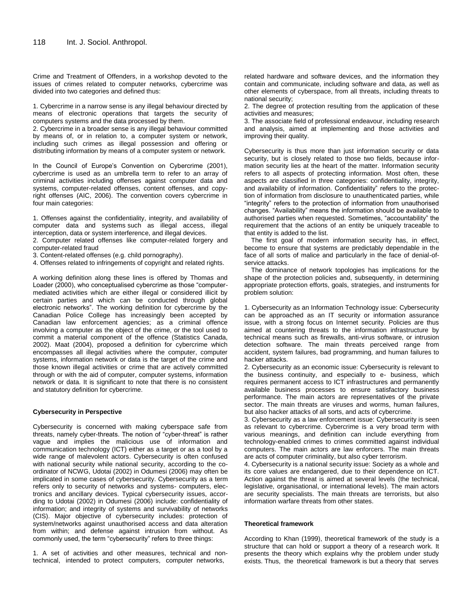Crime and Treatment of Offenders, in a workshop devoted to the issues of crimes related to computer networks, cybercrime was divided into two categories and defined thus:

1. Cybercrime in a narrow sense is any illegal behaviour directed by means of electronic operations that targets the security of computers systems and the data processed by them.

2. Cybercrime in a broader sense is any illegal behaviour committed by means of, or in relation to, a computer system or network, including such crimes as illegal possession and offering or distributing information by means of a computer system or network.

In the Council of Europe's Convention on Cybercrime (2001), cybercrime is used as an umbrella term to refer to an array of criminal activities including offenses against computer data and systems, computer-related offenses, content offenses, and copyright offenses (AIC, 2006). The convention covers cybercrime in four main categories:

1. Offenses against the confidentiality, integrity, and availability of computer data and systems such as illegal access, illegal interception, data or system interference, and illegal devices.

2. Computer related offenses like computer-related forgery and computer-related fraud

- 3. Content-related offenses (e.g. child pornography).
- 4. Offenses related to infringements of copyright and related rights.

A working definition along these lines is offered by Thomas and Loader (2000), who conceptualised cybercrime as those "computermediated activities which are either illegal or considered illicit by certain parties and which can be conducted through global electronic networks". The working definition for cybercrime by the Canadian Police College has increasingly been accepted by Canadian law enforcement agencies; as a criminal offence involving a computer as the object of the crime, or the tool used to commit a material component of the offence (Statistics Canada, 2002). Maat (2004), proposed a definition for cybercrime which encompasses all illegal activities where the computer, computer systems, information network or data is the target of the crime and those known illegal activities or crime that are actively committed through or with the aid of computer, computer systems, information network or data. It is significant to note that there is no consistent and statutory definition for cybercrime.

#### **Cybersecurity in Perspective**

Cybersecurity is concerned with making cyberspace safe from threats, namely cyber-threats. The notion of "cyber-threat" is rather vague and implies the malicious use of information and communication technology (ICT) either as a target or as a tool by a wide range of malevolent actors. Cybersecurity is often confused with national security while national security, according to the coordinator of NCWG, Udotai (2002) in Odumesi (2006) may often be implicated in some cases of cybersecurity. Cybersecurity as a term refers only to security of networks and systems- computers, electronics and ancillary devices. Typical cybersecurity issues, according to Udotai (2002) in Odumesi (2006) include: confidentiality of information; and integrity of systems and survivability of networks (CIS). Major objective of cybersecurity includes: protection of system/networks against unauthorised access and data alteration from within; and defense against intrusion from without. As commonly used, the term "cybersecurity" refers to three things:

1. A set of activities and other measures, technical and nontechnical, intended to protect computers, computer networks,

related hardware and software devices, and the information they contain and communicate, including software and data, as well as other elements of cyberspace, from all threats, including threats to national security;

2. The degree of protection resulting from the application of these activities and measures;

3. The associate field of professional endeavour, including research and analysis, aimed at implementing and those activities and improving their quality.

Cybersecurity is thus more than just information security or data security, but is closely related to those two fields, because information security lies at the heart of the matter. Information security refers to all aspects of protecting information. Most often, these aspects are classified in three categories: confidentiality, integrity, and availability of information. Confidentiality" refers to the protection of information from disclosure to unauthenticated parties, while "integrity" refers to the protection of information from unauthorised changes. "Availability" means the information should be available to authorised parties when requested. Sometimes, "accountability" the requirement that the actions of an entity be uniquely traceable to that entity is added to the list.

The first goal of modern information security has, in effect, become to ensure that systems are predictably dependable in the face of all sorts of malice and particularly in the face of denial-ofservice attacks.

The dominance of network topologies has implications for the shape of the protection policies and, subsequently, in determining appropriate protection efforts, goals, strategies, and instruments for problem solution:

1. Cybersecurity as an Information Technology issue: Cybersecurity can be approached as an IT security or information assurance issue, with a strong focus on Internet security. Policies are thus aimed at countering threats to the information infrastructure by technical means such as firewalls, anti-virus software, or intrusion detection software. The main threats perceived range from accident, system failures, bad programming, and human failures to hacker attacks.

2. Cybersecurity as an economic issue: Cybersecurity is relevant to the business continuity, and especially to e- business, which requires permanent access to ICT infrastructures and permanently available business processes to ensure satisfactory business performance. The main actors are representatives of the private sector. The main threats are viruses and worms, human failures, but also hacker attacks of all sorts, and acts of cybercrime.

3. Cybersecurity as a law enforcement issue: Cybersecurity is seen as relevant to cybercrime. Cybercrime is a very broad term with various meanings, and definition can include everything from technology-enabled crimes to crimes committed against individual computers. The main actors are law enforcers. The main threats are acts of computer criminality, but also cyber terrorism.

4. Cybersecurity is a national security issue: Society as a whole and its core values are endangered, due to their dependence on ICT. Action against the threat is aimed at several levels (the technical, legislative, organisational, or international levels). The main actors are security specialists. The main threats are terrorists, but also information warfare threats from other states.

#### **Theoretical framework**

According to Khan (1999), theoretical framework of the study is a structure that can hold or support a theory of a research work. It presents the theory which explains why the problem under study exists. Thus, the theoretical framework is but a theory that serves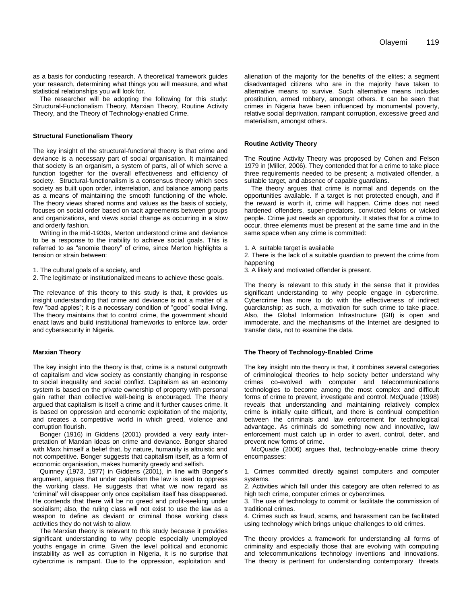as a basis for conducting research. A theoretical framework guides your research, determining what things you will measure, and what statistical relationships you will look for.

The researcher will be adopting the following for this study: Structural-Functionalism Theory, Marxian Theory, Routine Activity Theory, and the Theory of Technology-enabled Crime.

#### **Structural Functionalism Theory**

The key insight of the structural-functional theory is that crime and deviance is a necessary part of social organisation. It maintained that society is an organism, a system of parts, all of which serve a function together for the overall effectiveness and efficiency of society. Structural-functionalism is a consensus theory which sees society as built upon order, interrelation, and balance among parts as a means of maintaining the smooth functioning of the whole. The theory views shared norms and values as the basis of society, focuses on social order based on tacit agreements between groups and organizations, and views social change as occurring in a slow and orderly fashion.

Writing in the mid-1930s, Merton understood crime and deviance to be a response to the inability to achieve social goals. This is referred to as "anomie theory" of crime, since Merton highlights a tension or strain between:

1. The cultural goals of a society, and

2. The legitimate or institutionalized means to achieve these goals.

The relevance of this theory to this study is that, it provides us insight understanding that crime and deviance is not a matter of a few "bad apples"; it is a necessary condition of "good" social living. The theory maintains that to control crime, the government should enact laws and build institutional frameworks to enforce law, order and cybersecurity in Nigeria.

#### **Marxian Theory**

The key insight into the theory is that, crime is a natural outgrowth of capitalism and view society as constantly changing in response to social inequality and social conflict. Capitalism as an economy system is based on the private ownership of property with personal gain rather than collective well-being is encouraged. The theory argued that capitalism is itself a crime and it further causes crime. It is based on oppression and economic exploitation of the majority, and creates a competitive world in which greed, violence and corruption flourish.

Bonger (1916) in Giddens (2001) provided a very early interpretation of Marxian ideas on crime and deviance. Bonger shared with Marx himself a belief that, by nature, humanity is altruistic and not competitive. Bonger suggests that capitalism itself, as a form of economic organisation, makes humanity greedy and selfish.

Quinney (1973, 1977) in Giddens (2001), in line with Bonger's argument, argues that under capitalism the law is used to oppress the working class. He suggests that what we now regard as 'criminal' will disappear only once capitalism itself has disappeared. He contends that there will be no greed and profit-seeking under socialism; also, the ruling class will not exist to use the law as a weapon to define as deviant or criminal those working class activities they do not wish to allow.

The Marxian theory is relevant to this study because it provides significant understanding to why people especially unemployed youths engage in crime. Given the level political and economic instability as well as corruption in Nigeria, it is no surprise that cybercrime is rampant. Due to the oppression, exploitation and

alienation of the majority for the benefits of the elites; a segment disadvantaged citizens who are in the majority have taken to alternative means to survive. Such alternative means includes prostitution, armed robbery, amongst others. It can be seen that crimes in Nigeria have been influenced by monumental poverty, relative social deprivation, rampant corruption, excessive greed and materialism, amongst others.

#### **Routine Activity Theory**

The Routine Activity Theory was proposed by Cohen and Felson 1979 in (Miller, 2006). They contended that for a crime to take place three requirements needed to be present; a motivated offender, a suitable target, and absence of capable guardians.

The theory argues that crime is normal and depends on the opportunities available. If a target is not protected enough, and if the reward is worth it, crime will happen. Crime does not need hardened offenders, super-predators, convicted felons or wicked people. Crime just needs an opportunity. It states that for a crime to occur, three elements must be present at the same time and in the same space when any crime is committed:

1. A suitable target is available

2. There is the lack of a suitable guardian to prevent the crime from happening

3. A likely and motivated offender is present.

The theory is relevant to this study in the sense that it provides significant understanding to why people engage in cybercrime. Cybercrime has more to do with the effectiveness of indirect guardianship; as such, a motivation for such crime to take place. Also, the Global Information Infrastructure (GII) is open and immoderate, and the mechanisms of the Internet are designed to transfer data, not to examine the data.

#### **The Theory of Technology-Enabled Crime**

The key insight into the theory is that, it combines several categories of criminological theories to help society better understand why crimes co-evolved with computer and telecommunications technologies to become among the most complex and difficult forms of crime to prevent, investigate and control. McQuade (1998) reveals that understanding and maintaining relatively complex crime is initially quite difficult, and there is continual competition between the criminals and law enforcement for technological advantage. As criminals do something new and innovative, law enforcement must catch up in order to avert, control, deter, and prevent new forms of crime.

McQuade (2006) argues that, technology-enable crime theory encompasses:

1. Crimes committed directly against computers and computer systems.

2. Activities which fall under this category are often referred to as high tech crime, computer crimes or cybercrimes.

3. The use of technology to commit or facilitate the commission of traditional crimes.

4. Crimes such as fraud, scams, and harassment can be facilitated using technology which brings unique challenges to old crimes.

The theory provides a framework for understanding all forms of criminality and especially those that are evolving with computing and telecommunications technology inventions and innovations. The theory is pertinent for understanding contemporary threats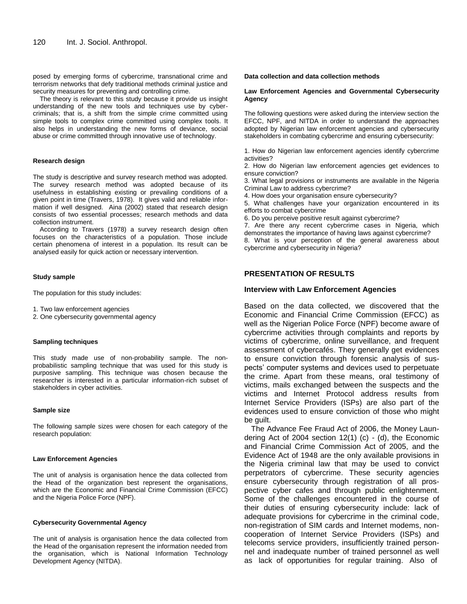posed by emerging forms of cybercrime, transnational crime and terrorism networks that defy traditional methods criminal justice and security measures for preventing and controlling crime.

The theory is relevant to this study because it provide us insight understanding of the new tools and techniques use by cybercriminals; that is, a shift from the simple crime committed using simple tools to complex crime committed using complex tools. It also helps in understanding the new forms of deviance, social abuse or crime committed through innovative use of technology.

#### **Research design**

The study is descriptive and survey research method was adopted. The survey research method was adopted because of its usefulness in establishing existing or prevailing conditions of a given point in time (Travers, 1978). It gives valid and reliable information if well designed. Aina (2002) stated that research design consists of two essential processes; research methods and data collection instrument.

According to Travers (1978) a survey research design often focuses on the characteristics of a population. Those include certain phenomena of interest in a population. Its result can be analysed easily for quick action or necessary intervention.

#### **Study sample**

The population for this study includes:

1. Two law enforcement agencies

2. One cybersecurity governmental agency

#### **Sampling techniques**

This study made use of non-probability sample. The nonprobabilistic sampling technique that was used for this study is purposive sampling. This technique was chosen because the researcher is interested in a particular information-rich subset of stakeholders in cyber activities.

#### **Sample size**

The following sample sizes were chosen for each category of the research population:

#### **Law Enforcement Agencies**

The unit of analysis is organisation hence the data collected from the Head of the organization best represent the organisations, which are the Economic and Financial Crime Commission (EFCC) and the Nigeria Police Force (NPF).

#### **Cybersecurity Governmental Agency**

The unit of analysis is organisation hence the data collected from the Head of the organisation represent the information needed from the organisation, which is National Information Technology Development Agency (NITDA).

#### **Data collection and data collection methods**

#### **Law Enforcement Agencies and Governmental Cybersecurity Agency**

The following questions were asked during the interview section the EFCC, NPF, and NITDA in order to understand the approaches adopted by Nigerian law enforcement agencies and cybersecurity stakeholders in combating cybercrime and ensuring cybersecurity:

1. How do Nigerian law enforcement agencies identify cybercrime activities?

2. How do Nigerian law enforcement agencies get evidences to ensure conviction?

3. What legal provisions or instruments are available in the Nigeria Criminal Law to address cybercrime?

4. How does your organisation ensure cybersecurity?

5. What challenges have your organization encountered in its efforts to combat cybercrime

6. Do you perceive positive result against cybercrime?

7. Are there any recent cybercrime cases in Nigeria, which demonstrates the importance of having laws against cybercrime?

8. What is your perception of the general awareness about cybercrime and cybersecurity in Nigeria?

### **PRESENTATION OF RESULTS**

#### **Interview with Law Enforcement Agencies**

Based on the data collected, we discovered that the Economic and Financial Crime Commission (EFCC) as well as the Nigerian Police Force (NPF) become aware of cybercrime activities through complaints and reports by victims of cybercrime, online surveillance, and frequent assessment of cybercafés. They generally get evidences to ensure conviction through forensic analysis of suspects' computer systems and devices used to perpetuate the crime. Apart from these means, oral testimony of victims, mails exchanged between the suspects and the victims and Internet Protocol address results from Internet Service Providers (ISPs) are also part of the evidences used to ensure conviction of those who might be guilt.

The Advance Fee Fraud Act of 2006, the Money Laundering Act of 2004 section  $12(1)$  (c) - (d), the Economic and Financial Crime Commission Act of 2005, and the Evidence Act of 1948 are the only available provisions in the Nigeria criminal law that may be used to convict perpetrators of cybercrime. These security agencies ensure cybersecurity through registration of all prospective cyber cafes and through public enlightenment. Some of the challenges encountered in the course of their duties of ensuring cybersecurity include: lack of adequate provisions for cybercrime in the criminal code, non-registration of SIM cards and Internet modems, noncooperation of Internet Service Providers (ISPs) and telecoms service providers, insufficiently trained personnel and inadequate number of trained personnel as well as lack of opportunities for regular training. Also of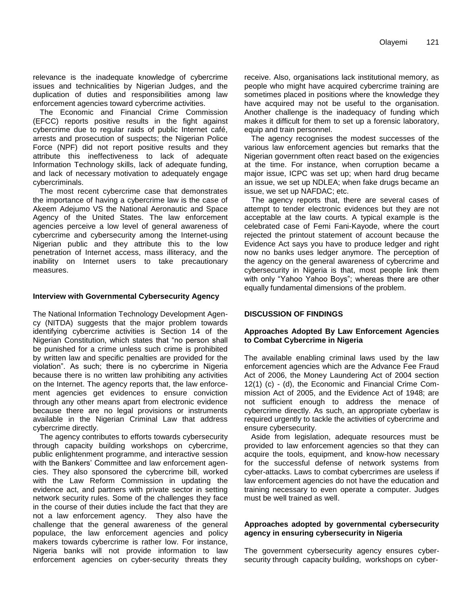relevance is the inadequate knowledge of cybercrime issues and technicalities by Nigerian Judges, and the duplication of duties and responsibilities among law enforcement agencies toward cybercrime activities.

The Economic and Financial Crime Commission (EFCC) reports positive results in the fight against cybercrime due to regular raids of public Internet café, arrests and prosecution of suspects; the Nigerian Police Force (NPF) did not report positive results and they attribute this ineffectiveness to lack of adequate Information Technology skills, lack of adequate funding, and lack of necessary motivation to adequately engage cybercriminals.

The most recent cybercrime case that demonstrates the importance of having a cybercrime law is the case of Akeem Adejumo VS the National Aeronautic and Space Agency of the United States. The law enforcement agencies perceive a low level of general awareness of cybercrime and cybersecurity among the Internet-using Nigerian public and they attribute this to the low penetration of Internet access, mass illiteracy, and the inability on Internet users to take precautionary measures.

### **Interview with Governmental Cybersecurity Agency**

The National Information Technology Development Agency (NITDA) suggests that the major problem towards identifying cybercrime activities is Section 14 of the Nigerian Constitution, which states that "no person shall be punished for a crime unless such crime is prohibited by written law and specific penalties are provided for the violation". As such; there is no cybercrime in Nigeria because there is no written law prohibiting any activities on the Internet. The agency reports that, the law enforcement agencies get evidences to ensure conviction through any other means apart from electronic evidence because there are no legal provisions or instruments available in the Nigerian Criminal Law that address cybercrime directly.

The agency contributes to efforts towards cybersecurity through capacity building workshops on cybercrime, public enlightenment programme, and interactive session with the Bankers' Committee and law enforcement agencies. They also sponsored the cybercrime bill, worked with the Law Reform Commission in updating the evidence act, and partners with private sector in setting network security rules. Some of the challenges they face in the course of their duties include the fact that they are not a law enforcement agency. They also have the challenge that the general awareness of the general populace, the law enforcement agencies and policy makers towards cybercrime is rather low. For instance, Nigeria banks will not provide information to law enforcement agencies on cyber-security threats they

receive. Also, organisations lack institutional memory, as people who might have acquired cybercrime training are sometimes placed in positions where the knowledge they have acquired may not be useful to the organisation. Another challenge is the inadequacy of funding which makes it difficult for them to set up a forensic laboratory, equip and train personnel.

The agency recognises the modest successes of the various law enforcement agencies but remarks that the Nigerian government often react based on the exigencies at the time. For instance, when corruption became a major issue, ICPC was set up; when hard drug became an issue, we set up NDLEA; when fake drugs became an issue, we set up NAFDAC; etc.

The agency reports that, there are several cases of attempt to tender electronic evidences but they are not acceptable at the law courts. A typical example is the celebrated case of Femi Fani-Kayode, where the court rejected the printout statement of account because the Evidence Act says you have to produce ledger and right now no banks uses ledger anymore. The perception of the agency on the general awareness of cybercrime and cybersecurity in Nigeria is that, most people link them with only "Yahoo Yahoo Boys"; whereas there are other equally fundamental dimensions of the problem.

### **DISCUSSION OF FINDINGS**

### **Approaches Adopted By Law Enforcement Agencies to Combat Cybercrime in Nigeria**

The available enabling criminal laws used by the law enforcement agencies which are the Advance Fee Fraud Act of 2006, the Money Laundering Act of 2004 section 12(1) (c) - (d), the Economic and Financial Crime Commission Act of 2005, and the Evidence Act of 1948; are not sufficient enough to address the menace of cybercrime directly. As such, an appropriate cyberlaw is required urgently to tackle the activities of cybercrime and ensure cybersecurity.

Aside from legislation, adequate resources must be provided to law enforcement agencies so that they can acquire the tools, equipment, and know-how necessary for the successful defense of network systems from cyber-attacks. Laws to combat cybercrimes are useless if law enforcement agencies do not have the education and training necessary to even operate a computer. Judges must be well trained as well.

### **Approaches adopted by governmental cybersecurity agency in ensuring cybersecurity in Nigeria**

The government cybersecurity agency ensures cybersecurity through capacity building, workshops on cyber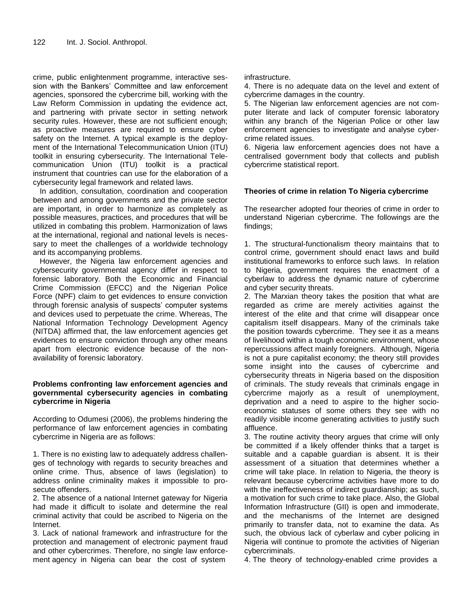crime, public enlightenment programme, interactive session with the Bankers' Committee and law enforcement agencies, sponsored the cybercrime bill, working with the Law Reform Commission in updating the evidence act, and partnering with private sector in setting network security rules. However, these are not sufficient enough; as proactive measures are required to ensure cyber safety on the Internet. A typical example is the deployment of the International Telecommunication Union (ITU) toolkit in ensuring cybersecurity. The International Telecommunication Union (ITU) toolkit is a practical instrument that countries can use for the elaboration of a cybersecurity legal framework and related laws.

In addition, consultation, coordination and cooperation between and among governments and the private sector are important, in order to harmonize as completely as possible measures, practices, and procedures that will be utilized in combating this problem. Harmonization of laws at the international, regional and national levels is necessary to meet the challenges of a worldwide technology and its accompanying problems.

However, the Nigeria law enforcement agencies and cybersecurity governmental agency differ in respect to forensic laboratory. Both the Economic and Financial Crime Commission (EFCC) and the Nigerian Police Force (NPF) claim to get evidences to ensure conviction through forensic analysis of suspects' computer systems and devices used to perpetuate the crime. Whereas, The National Information Technology Development Agency (NITDA) affirmed that, the law enforcement agencies get evidences to ensure conviction through any other means apart from electronic evidence because of the nonavailability of forensic laboratory.

### **Problems confronting law enforcement agencies and governmental cybersecurity agencies in combating cybercrime in Nigeria**

According to Odumesi (2006), the problems hindering the performance of law enforcement agencies in combating cybercrime in Nigeria are as follows:

1. There is no existing law to adequately address challenges of technology with regards to security breaches and online crime. Thus, absence of laws (legislation) to address online criminality makes it impossible to prosecute offenders.

2. The absence of a national Internet gateway for Nigeria had made it difficult to isolate and determine the real criminal activity that could be ascribed to Nigeria on the Internet.

3. Lack of national framework and infrastructure for the protection and management of electronic payment fraud and other cybercrimes. Therefore, no single law enforcement agency in Nigeria can bear the cost of system

infrastructure.

4. There is no adequate data on the level and extent of cybercrime damages in the country.

5. The Nigerian law enforcement agencies are not computer literate and lack of computer forensic laboratory within any branch of the Nigerian Police or other law enforcement agencies to investigate and analyse cybercrime related issues.

6. Nigeria law enforcement agencies does not have a centralised government body that collects and publish cybercrime statistical report.

### **Theories of crime in relation To Nigeria cybercrime**

The researcher adopted four theories of crime in order to understand Nigerian cybercrime. The followings are the findings;

1. The structural-functionalism theory maintains that to control crime, government should enact laws and build institutional frameworks to enforce such laws. In relation to Nigeria, government requires the enactment of a cyberlaw to address the dynamic nature of cybercrime and cyber security threats.

2. The Marxian theory takes the position that what are regarded as crime are merely activities against the interest of the elite and that crime will disappear once capitalism itself disappears. Many of the criminals take the position towards cybercrime. They see it as a means of livelihood within a tough economic environment, whose repercussions affect mainly foreigners. Although, Nigeria is not a pure capitalist economy; the theory still provides some insight into the causes of cybercrime and cybersecurity threats in Nigeria based on the disposition of criminals. The study reveals that criminals engage in cybercrime majorly as a result of unemployment, deprivation and a need to aspire to the higher socioeconomic statuses of some others they see with no readily visible income generating activities to justify such affluence.

3. The routine activity theory argues that crime will only be committed if a likely offender thinks that a target is suitable and a capable guardian is absent. It is their assessment of a situation that determines whether a crime will take place. In relation to Nigeria, the theory is relevant because cybercrime activities have more to do with the ineffectiveness of indirect guardianship; as such, a motivation for such crime to take place. Also, the Global Information Infrastructure (GII) is open and immoderate, and the mechanisms of the Internet are designed primarily to transfer data, not to examine the data. As such, the obvious lack of cyberlaw and cyber policing in Nigeria will continue to promote the activities of Nigerian cybercriminals.

4. The theory of technology-enabled crime provides a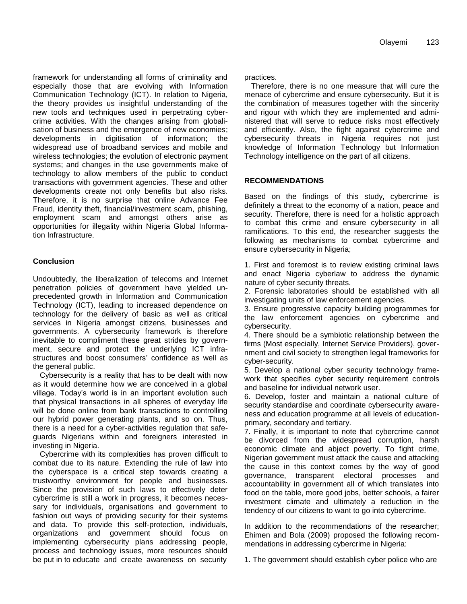framework for understanding all forms of criminality and especially those that are evolving with Information Communication Technology (ICT). In relation to Nigeria, the theory provides us insightful understanding of the new tools and techniques used in perpetrating cybercrime activities. With the changes arising from globalisation of business and the emergence of new economies; developments in digitisation of information; the widespread use of broadband services and mobile and wireless technologies; the evolution of electronic payment systems; and changes in the use governments make of technology to allow members of the public to conduct transactions with government agencies. These and other developments create not only benefits but also risks. Therefore, it is no surprise that online Advance Fee Fraud, identity theft, financial/investment scam, phishing, employment scam and amongst others arise as opportunities for illegality within Nigeria Global Information Infrastructure.

### **Conclusion**

Undoubtedly, the liberalization of telecoms and Internet penetration policies of government have yielded unprecedented growth in Information and Communication Technology (ICT), leading to increased dependence on technology for the delivery of basic as well as critical services in Nigeria amongst citizens, businesses and governments. A cybersecurity framework is therefore inevitable to compliment these great strides by government, secure and protect the underlying ICT infrastructures and boost consumers' confidence as well as the general public.

Cybersecurity is a reality that has to be dealt with now as it would determine how we are conceived in a global village. Today's world is in an important evolution such that physical transactions in all spheres of everyday life will be done online from bank transactions to controlling our hybrid power generating plants, and so on. Thus, there is a need for a cyber-activities regulation that safeguards Nigerians within and foreigners interested in investing in Nigeria.

Cybercrime with its complexities has proven difficult to combat due to its nature. Extending the rule of law into the cyberspace is a critical step towards creating a trustworthy environment for people and businesses. Since the provision of such laws to effectively deter cybercrime is still a work in progress, it becomes necessary for individuals, organisations and government to fashion out ways of providing security for their systems and data. To provide this self-protection, individuals, organizations and government should focus on implementing cybersecurity plans addressing people, process and technology issues, more resources should be put in to educate and create awareness on security practices.

Therefore, there is no one measure that will cure the menace of cybercrime and ensure cybersecurity. But it is the combination of measures together with the sincerity and rigour with which they are implemented and administered that will serve to reduce risks most effectively and efficiently. Also, the fight against cybercrime and cybersecurity threats in Nigeria requires not just knowledge of Information Technology but Information Technology intelligence on the part of all citizens.

### **RECOMMENDATIONS**

Based on the findings of this study, cybercrime is definitely a threat to the economy of a nation, peace and security. Therefore, there is need for a holistic approach to combat this crime and ensure cybersecurity in all ramifications. To this end, the researcher suggests the following as mechanisms to combat cybercrime and ensure cybersecurity in Nigeria;

1. First and foremost is to review existing criminal laws and enact Nigeria cyberlaw to address the dynamic nature of cyber security threats.

2. Forensic laboratories should be established with all investigating units of law enforcement agencies.

3. Ensure progressive capacity building programmes for the law enforcement agencies on cybercrime and cybersecurity.

4. There should be a symbiotic relationship between the firms (Most especially, Internet Service Providers), government and civil society to strengthen legal frameworks for cyber-security.

5. Develop a national cyber security technology framework that specifies cyber security requirement controls and baseline for individual network user.

6. Develop, foster and maintain a national culture of security standardise and coordinate cybersecurity awareness and education programme at all levels of educationprimary, secondary and tertiary.

7. Finally, it is important to note that cybercrime cannot be divorced from the widespread corruption, harsh economic climate and abject poverty. To fight crime, Nigerian government must attack the cause and attacking the cause in this context comes by the way of good governance, transparent electoral processes and accountability in government all of which translates into food on the table, more good jobs, better schools, a fairer investment climate and ultimately a reduction in the tendency of our citizens to want to go into cybercrime.

In addition to the recommendations of the researcher; Ehimen and Bola (2009) proposed the following recommendations in addressing cybercrime in Nigeria:

1. The government should establish cyber police who are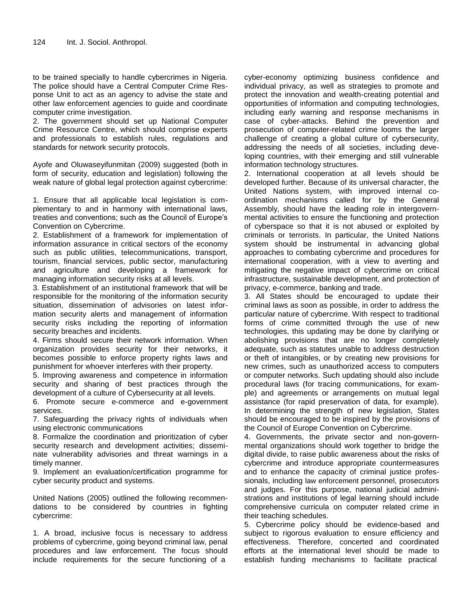to be trained specially to handle cybercrimes in Nigeria. The police should have a Central Computer Crime Response Unit to act as an agency to advise the state and other law enforcement agencies to guide and coordinate computer crime investigation.

2. The government should set up National Computer Crime Resource Centre, which should comprise experts and professionals to establish rules, regulations and standards for network security protocols.

Ayofe and Oluwaseyifunmitan (2009) suggested (both in form of security, education and legislation) following the weak nature of global legal protection against cybercrime:

1. Ensure that all applicable local legislation is complementary to and in harmony with international laws, treaties and conventions; such as the Council of Europe's Convention on Cybercrime.

2. Establishment of a framework for implementation of information assurance in critical sectors of the economy such as public utilities, telecommunications, transport, tourism, financial services, public sector, manufacturing and agriculture and developing a framework for managing information security risks at all levels.

3. Establishment of an institutional framework that will be responsible for the monitoring of the information security situation, dissemination of advisories on latest information security alerts and management of information security risks including the reporting of information security breaches and incidents.

4. Firms should secure their network information. When organization provides security for their networks, it becomes possible to enforce property rights laws and punishment for whoever interferes with their property.

5. Improving awareness and competence in information security and sharing of best practices through the development of a culture of Cybersecurity at all levels.

6. Promote secure e-commerce and e-government services.

7. Safeguarding the privacy rights of individuals when using electronic communications

8. Formalize the coordination and prioritization of cyber security research and development activities; disseminate vulnerability advisories and threat warnings in a timely manner.

9. Implement an evaluation/certification programme for cyber security product and systems.

United Nations (2005) outlined the following recommendations to be considered by countries in fighting cybercrime:

1. A broad, inclusive focus is necessary to address problems of cybercrime, going beyond criminal law, penal procedures and law enforcement. The focus should include requirements for the secure functioning of a

cyber-economy optimizing business confidence and individual privacy, as well as strategies to promote and protect the innovation and wealth-creating potential and opportunities of information and computing technologies, including early warning and response mechanisms in case of cyber-attacks. Behind the prevention and prosecution of computer-related crime looms the larger challenge of creating a global culture of cybersecurity, addressing the needs of all societies, including developing countries, with their emerging and still vulnerable information technology structures.

2. International cooperation at all levels should be developed further. Because of its universal character, the United Nations system, with improved internal coordination mechanisms called for by the General Assembly, should have the leading role in intergovernmental activities to ensure the functioning and protection of cyberspace so that it is not abused or exploited by criminals or terrorists. In particular, the United Nations system should be instrumental in advancing global approaches to combating cybercrime and procedures for international cooperation, with a view to averting and mitigating the negative impact of cybercrime on critical infrastructure, sustainable development, and protection of privacy, e-commerce, banking and trade.

3. All States should be encouraged to update their criminal laws as soon as possible, in order to address the particular nature of cybercrime. With respect to traditional forms of crime committed through the use of new technologies, this updating may be done by clarifying or abolishing provisions that are no longer completely adequate, such as statutes unable to address destruction or theft of intangibles, or by creating new provisions for new crimes, such as unauthorized access to computers or computer networks. Such updating should also include procedural laws (for tracing communications, for example) and agreements or arrangements on mutual legal assistance (for rapid preservation of data, for example). In determining the strength of new legislation, States should be encouraged to be inspired by the provisions of the Council of Europe Convention on Cybercrime.

4. Governments, the private sector and non-governmental organizations should work together to bridge the digital divide, to raise public awareness about the risks of cybercrime and introduce appropriate countermeasures and to enhance the capacity of criminal justice professionals, including law enforcement personnel, prosecutors and judges. For this purpose, national judicial administrations and institutions of legal learning should include comprehensive curricula on computer related crime in their teaching schedules.

5. Cybercrime policy should be evidence-based and subject to rigorous evaluation to ensure efficiency and effectiveness. Therefore, concerted and coordinated efforts at the international level should be made to establish funding mechanisms to facilitate practical